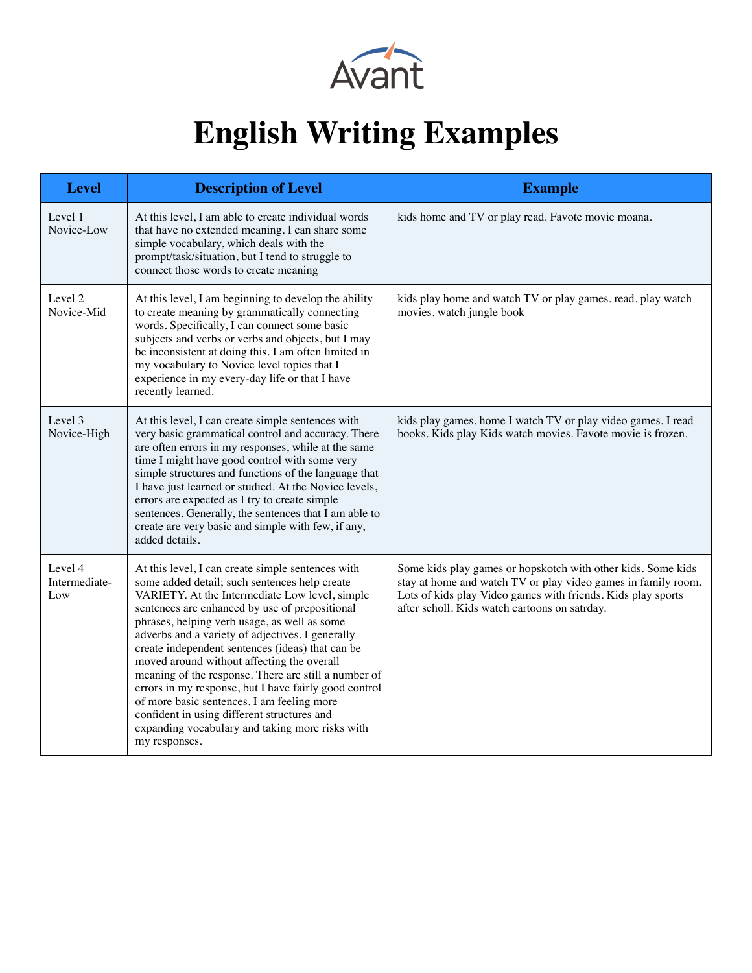

## **English Writing Examples**

| <b>Level</b>                    | <b>Description of Level</b>                                                                                                                                                                                                                                                                                                                                                                                                                                                                                                                                                                                                                                                                    | <b>Example</b>                                                                                                                                                                                                                                 |
|---------------------------------|------------------------------------------------------------------------------------------------------------------------------------------------------------------------------------------------------------------------------------------------------------------------------------------------------------------------------------------------------------------------------------------------------------------------------------------------------------------------------------------------------------------------------------------------------------------------------------------------------------------------------------------------------------------------------------------------|------------------------------------------------------------------------------------------------------------------------------------------------------------------------------------------------------------------------------------------------|
| Level 1<br>Novice-Low           | At this level, I am able to create individual words<br>that have no extended meaning. I can share some<br>simple vocabulary, which deals with the<br>prompt/task/situation, but I tend to struggle to<br>connect those words to create meaning                                                                                                                                                                                                                                                                                                                                                                                                                                                 | kids home and TV or play read. Favote movie moana.                                                                                                                                                                                             |
| Level 2<br>Novice-Mid           | At this level, I am beginning to develop the ability<br>to create meaning by grammatically connecting<br>words. Specifically, I can connect some basic<br>subjects and verbs or verbs and objects, but I may<br>be inconsistent at doing this. I am often limited in<br>my vocabulary to Novice level topics that I<br>experience in my every-day life or that I have<br>recently learned.                                                                                                                                                                                                                                                                                                     | kids play home and watch TV or play games. read. play watch<br>movies. watch jungle book                                                                                                                                                       |
| Level 3<br>Novice-High          | At this level, I can create simple sentences with<br>very basic grammatical control and accuracy. There<br>are often errors in my responses, while at the same<br>time I might have good control with some very<br>simple structures and functions of the language that<br>I have just learned or studied. At the Novice levels,<br>errors are expected as I try to create simple<br>sentences. Generally, the sentences that I am able to<br>create are very basic and simple with few, if any,<br>added details.                                                                                                                                                                             | kids play games. home I watch TV or play video games. I read<br>books. Kids play Kids watch movies. Favote movie is frozen.                                                                                                                    |
| Level 4<br>Intermediate-<br>Low | At this level, I can create simple sentences with<br>some added detail; such sentences help create<br>VARIETY. At the Intermediate Low level, simple<br>sentences are enhanced by use of prepositional<br>phrases, helping verb usage, as well as some<br>adverbs and a variety of adjectives. I generally<br>create independent sentences (ideas) that can be<br>moved around without affecting the overall<br>meaning of the response. There are still a number of<br>errors in my response, but I have fairly good control<br>of more basic sentences. I am feeling more<br>confident in using different structures and<br>expanding vocabulary and taking more risks with<br>my responses. | Some kids play games or hopskotch with other kids. Some kids<br>stay at home and watch TV or play video games in family room.<br>Lots of kids play Video games with friends. Kids play sports<br>after scholl. Kids watch cartoons on satrday. |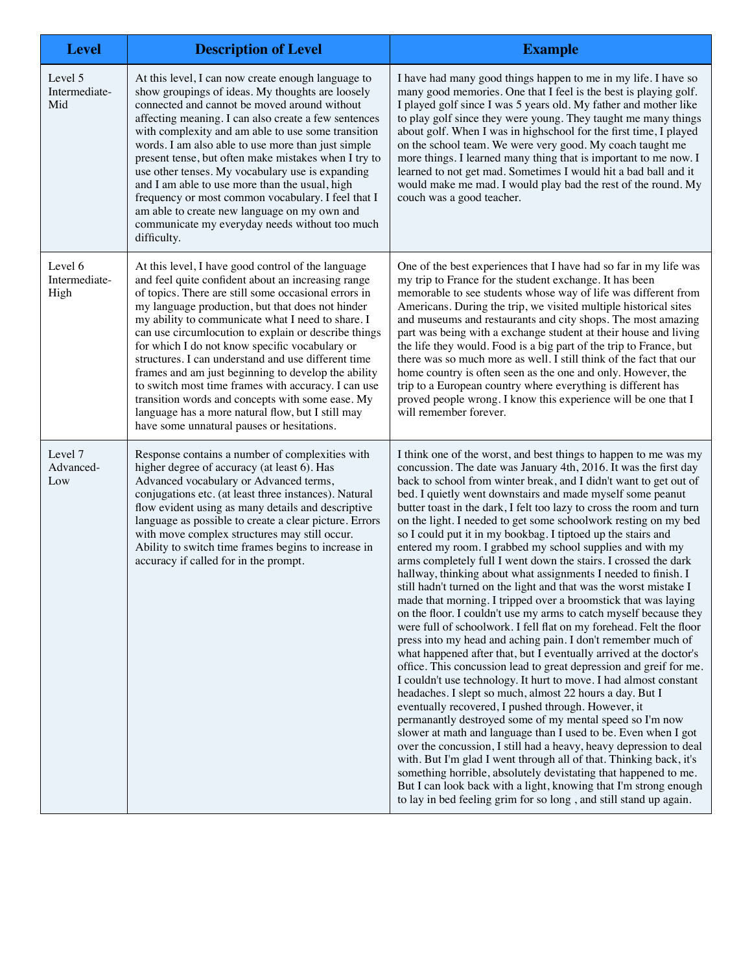| <b>Level</b>                     | <b>Description of Level</b>                                                                                                                                                                                                                                                                                                                                                                                                                                                                                                                                                                                                                                                                                     | <b>Example</b>                                                                                                                                                                                                                                                                                                                                                                                                                                                                                                                                                                                                                                                                                                                                                                                                                                                                                                                                                                                                                                                                                                                                                                                                                                                                                                                                                                                                                                                                                                                                                                                                                                                                                                                                                                                                                                                    |
|----------------------------------|-----------------------------------------------------------------------------------------------------------------------------------------------------------------------------------------------------------------------------------------------------------------------------------------------------------------------------------------------------------------------------------------------------------------------------------------------------------------------------------------------------------------------------------------------------------------------------------------------------------------------------------------------------------------------------------------------------------------|-------------------------------------------------------------------------------------------------------------------------------------------------------------------------------------------------------------------------------------------------------------------------------------------------------------------------------------------------------------------------------------------------------------------------------------------------------------------------------------------------------------------------------------------------------------------------------------------------------------------------------------------------------------------------------------------------------------------------------------------------------------------------------------------------------------------------------------------------------------------------------------------------------------------------------------------------------------------------------------------------------------------------------------------------------------------------------------------------------------------------------------------------------------------------------------------------------------------------------------------------------------------------------------------------------------------------------------------------------------------------------------------------------------------------------------------------------------------------------------------------------------------------------------------------------------------------------------------------------------------------------------------------------------------------------------------------------------------------------------------------------------------------------------------------------------------------------------------------------------------|
| Level 5<br>Intermediate-<br>Mid  | At this level, I can now create enough language to<br>show groupings of ideas. My thoughts are loosely<br>connected and cannot be moved around without<br>affecting meaning. I can also create a few sentences<br>with complexity and am able to use some transition<br>words. I am also able to use more than just simple<br>present tense, but often make mistakes when I try to<br>use other tenses. My vocabulary use is expanding<br>and I am able to use more than the usual, high<br>frequency or most common vocabulary. I feel that I<br>am able to create new language on my own and<br>communicate my everyday needs without too much<br>difficulty.                                                 | I have had many good things happen to me in my life. I have so<br>many good memories. One that I feel is the best is playing golf.<br>I played golf since I was 5 years old. My father and mother like<br>to play golf since they were young. They taught me many things<br>about golf. When I was in highschool for the first time, I played<br>on the school team. We were very good. My coach taught me<br>more things. I learned many thing that is important to me now. I<br>learned to not get mad. Sometimes I would hit a bad ball and it<br>would make me mad. I would play bad the rest of the round. My<br>couch was a good teacher.                                                                                                                                                                                                                                                                                                                                                                                                                                                                                                                                                                                                                                                                                                                                                                                                                                                                                                                                                                                                                                                                                                                                                                                                                   |
| Level 6<br>Intermediate-<br>High | At this level, I have good control of the language<br>and feel quite confident about an increasing range<br>of topics. There are still some occasional errors in<br>my language production, but that does not hinder<br>my ability to communicate what I need to share. I<br>can use circumlocution to explain or describe things<br>for which I do not know specific vocabulary or<br>structures. I can understand and use different time<br>frames and am just beginning to develop the ability<br>to switch most time frames with accuracy. I can use<br>transition words and concepts with some ease. My<br>language has a more natural flow, but I still may<br>have some unnatural pauses or hesitations. | One of the best experiences that I have had so far in my life was<br>my trip to France for the student exchange. It has been<br>memorable to see students whose way of life was different from<br>Americans. During the trip, we visited multiple historical sites<br>and museums and restaurants and city shops. The most amazing<br>part was being with a exchange student at their house and living<br>the life they would. Food is a big part of the trip to France, but<br>there was so much more as well. I still think of the fact that our<br>home country is often seen as the one and only. However, the<br>trip to a European country where everything is different has<br>proved people wrong. I know this experience will be one that I<br>will remember forever.                                                                                                                                                                                                                                                                                                                                                                                                                                                                                                                                                                                                                                                                                                                                                                                                                                                                                                                                                                                                                                                                                    |
| Level 7<br>Advanced-<br>Low      | Response contains a number of complexities with<br>higher degree of accuracy (at least 6). Has<br>Advanced vocabulary or Advanced terms,<br>conjugations etc. (at least three instances). Natural<br>flow evident using as many details and descriptive<br>language as possible to create a clear picture. Errors<br>with move complex structures may still occur.<br>Ability to switch time frames begins to increase in<br>accuracy if called for in the prompt.                                                                                                                                                                                                                                              | I think one of the worst, and best things to happen to me was my<br>concussion. The date was January 4th, 2016. It was the first day<br>back to school from winter break, and I didn't want to get out of<br>bed. I quietly went downstairs and made myself some peanut<br>butter toast in the dark, I felt too lazy to cross the room and turn<br>on the light. I needed to get some schoolwork resting on my bed<br>so I could put it in my bookbag. I tiptoed up the stairs and<br>entered my room. I grabbed my school supplies and with my<br>arms completely full I went down the stairs. I crossed the dark<br>hallway, thinking about what assignments I needed to finish. I<br>still hadn't turned on the light and that was the worst mistake I<br>made that morning. I tripped over a broomstick that was laying<br>on the floor. I couldn't use my arms to catch myself because they<br>were full of schoolwork. I fell flat on my forehead. Felt the floor<br>press into my head and aching pain. I don't remember much of<br>what happened after that, but I eventually arrived at the doctor's<br>office. This concussion lead to great depression and greif for me.<br>I couldn't use technology. It hurt to move. I had almost constant<br>headaches. I slept so much, almost 22 hours a day. But I<br>eventually recovered, I pushed through. However, it<br>permanantly destroyed some of my mental speed so I'm now<br>slower at math and language than I used to be. Even when I got<br>over the concussion, I still had a heavy, heavy depression to deal<br>with. But I'm glad I went through all of that. Thinking back, it's<br>something horrible, absolutely devistating that happened to me.<br>But I can look back with a light, knowing that I'm strong enough<br>to lay in bed feeling grim for so long, and still stand up again. |